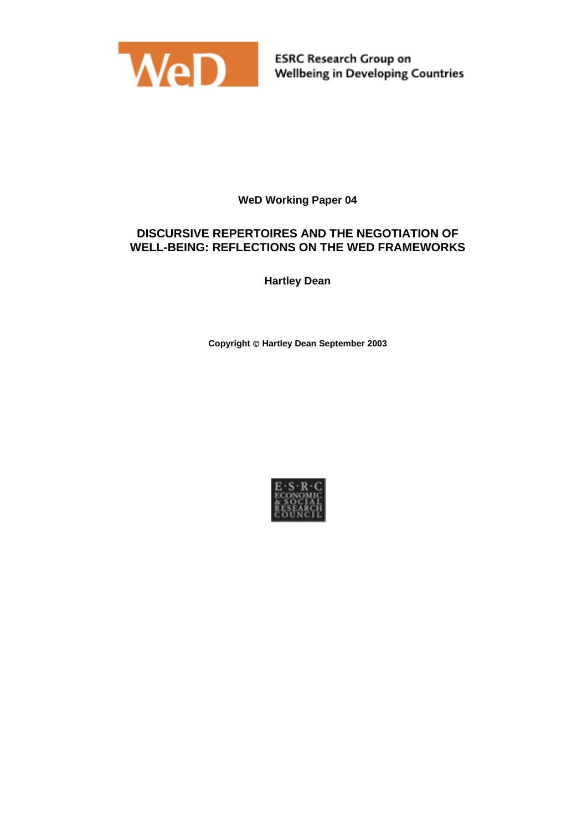

# **WeD Working Paper 04**

# **DISCURSIVE REPERTOIRES AND THE NEGOTIATION OF WELL-BEING: REFLECTIONS ON THE WED FRAMEWORKS**

**Hartley Dean**

**Copyright Hartley Dean September 2003**

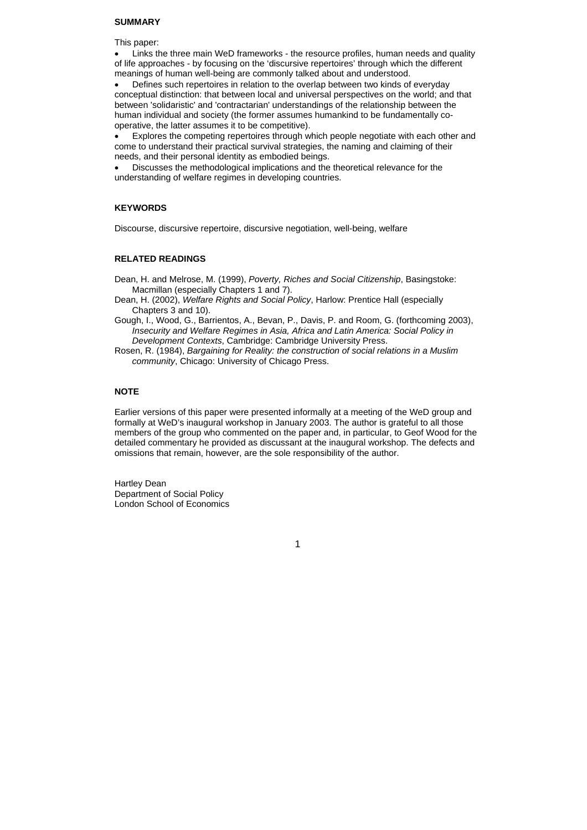#### **SUMMARY**

This paper:

• Links the three main WeD frameworks - the resource profiles, human needs and quality of life approaches - by focusing on the 'discursive repertoires' through which the different meanings of human well-being are commonly talked about and understood.

• Defines such repertoires in relation to the overlap between two kinds of everyday conceptual distinction: that between local and universal perspectives on the world; and that between 'solidaristic' and 'contractarian' understandings of the relationship between the human individual and society (the former assumes humankind to be fundamentally cooperative, the latter assumes it to be competitive).

• Explores the competing repertoires through which people negotiate with each other and come to understand their practical survival strategies, the naming and claiming of their needs, and their personal identity as embodied beings.

• Discusses the methodological implications and the theoretical relevance for the understanding of welfare regimes in developing countries.

#### **KEYWORDS**

Discourse, discursive repertoire, discursive negotiation, well-being, welfare

#### **RELATED READINGS**

Dean, H. and Melrose, M. (1999), *Poverty, Riches and Social Citizenship*, Basingstoke: Macmillan (especially Chapters 1 and 7).

Dean, H. (2002), *Welfare Rights and Social Policy*, Harlow: Prentice Hall (especially Chapters 3 and 10).

Gough, I., Wood, G., Barrientos, A., Bevan, P., Davis, P. and Room, G. (forthcoming 2003), *Insecurity and Welfare Regimes in Asia, Africa and Latin America: Social Policy in Development Contexts*, Cambridge: Cambridge University Press.

Rosen, R. (1984), *Bargaining for Reality: the construction of social relations in a Muslim community*, Chicago: University of Chicago Press.

## **NOTE**

Earlier versions of this paper were presented informally at a meeting of the WeD group and formally at WeD's inaugural workshop in January 2003. The author is grateful to all those members of the group who commented on the paper and, in particular, to Geof Wood for the detailed commentary he provided as discussant at the inaugural workshop. The defects and omissions that remain, however, are the sole responsibility of the author.

Hartley Dean Department of Social Policy London School of Economics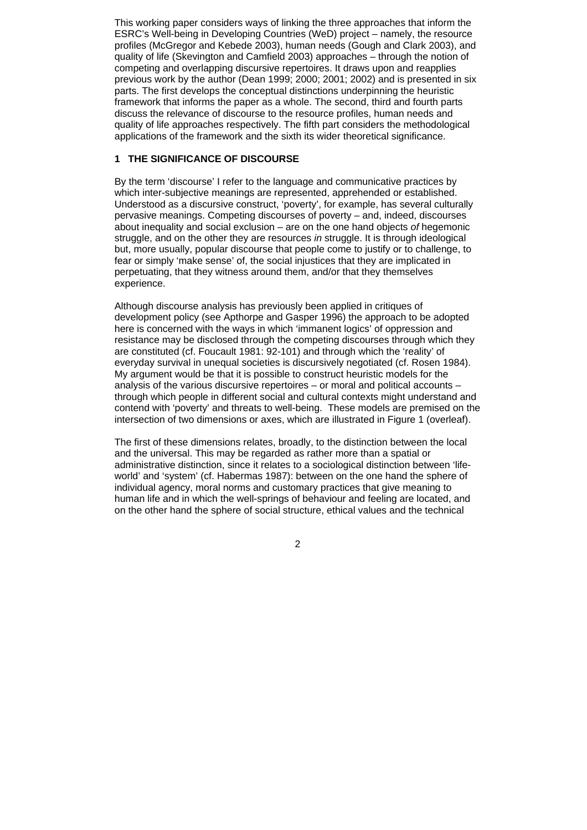This working paper considers ways of linking the three approaches that inform the ESRC's Well-being in Developing Countries (WeD) project – namely, the resource profiles (McGregor and Kebede 2003), human needs (Gough and Clark 2003), and quality of life (Skevington and Camfield 2003) approaches – through the notion of competing and overlapping discursive repertoires. It draws upon and reapplies previous work by the author (Dean 1999; 2000; 2001; 2002) and is presented in six parts. The first develops the conceptual distinctions underpinning the heuristic framework that informs the paper as a whole. The second, third and fourth parts discuss the relevance of discourse to the resource profiles, human needs and quality of life approaches respectively. The fifth part considers the methodological applications of the framework and the sixth its wider theoretical significance.

# **1 THE SIGNIFICANCE OF DISCOURSE**

By the term 'discourse' I refer to the language and communicative practices by which inter-subjective meanings are represented, apprehended or established. Understood as a discursive construct, 'poverty', for example, has several culturally pervasive meanings. Competing discourses of poverty – and, indeed, discourses about inequality and social exclusion – are on the one hand objects *of* hegemonic struggle, and on the other they are resources *in* struggle. It is through ideological but, more usually, popular discourse that people come to justify or to challenge, to fear or simply 'make sense' of, the social injustices that they are implicated in perpetuating, that they witness around them, and/or that they themselves experience.

Although discourse analysis has previously been applied in critiques of development policy (see Apthorpe and Gasper 1996) the approach to be adopted here is concerned with the ways in which 'immanent logics' of oppression and resistance may be disclosed through the competing discourses through which they are constituted (cf. Foucault 1981: 92-101) and through which the 'reality' of everyday survival in unequal societies is discursively negotiated (cf. Rosen 1984). My argument would be that it is possible to construct heuristic models for the analysis of the various discursive repertoires – or moral and political accounts – through which people in different social and cultural contexts might understand and contend with 'poverty' and threats to well-being. These models are premised on the intersection of two dimensions or axes, which are illustrated in Figure 1 (overleaf).

The first of these dimensions relates, broadly, to the distinction between the local and the universal. This may be regarded as rather more than a spatial or administrative distinction, since it relates to a sociological distinction between 'lifeworld' and 'system' (cf. Habermas 1987): between on the one hand the sphere of individual agency, moral norms and customary practices that give meaning to human life and in which the well-springs of behaviour and feeling are located, and on the other hand the sphere of social structure, ethical values and the technical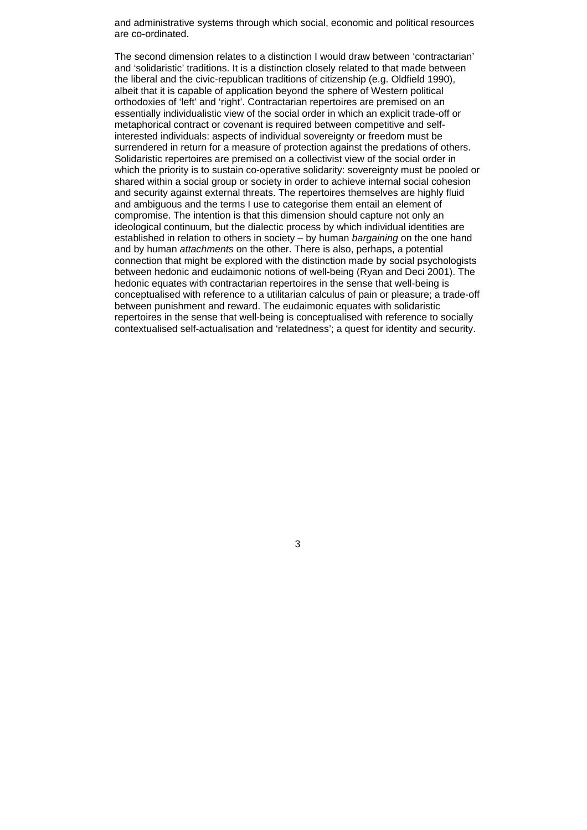and administrative systems through which social, economic and political resources are co-ordinated.

The second dimension relates to a distinction I would draw between 'contractarian' and 'solidaristic' traditions. It is a distinction closely related to that made between the liberal and the civic-republican traditions of citizenship (e.g. Oldfield 1990), albeit that it is capable of application beyond the sphere of Western political orthodoxies of 'left' and 'right'. Contractarian repertoires are premised on an essentially individualistic view of the social order in which an explicit trade-off or metaphorical contract or covenant is required between competitive and selfinterested individuals: aspects of individual sovereignty or freedom must be surrendered in return for a measure of protection against the predations of others. Solidaristic repertoires are premised on a collectivist view of the social order in which the priority is to sustain co-operative solidarity: sovereignty must be pooled or shared within a social group or society in order to achieve internal social cohesion and security against external threats. The repertoires themselves are highly fluid and ambiguous and the terms I use to categorise them entail an element of compromise. The intention is that this dimension should capture not only an ideological continuum, but the dialectic process by which individual identities are established in relation to others in society – by human *bargaining* on the one hand and by human *attachments* on the other. There is also, perhaps, a potential connection that might be explored with the distinction made by social psychologists between hedonic and eudaimonic notions of well-being (Ryan and Deci 2001). The hedonic equates with contractarian repertoires in the sense that well-being is conceptualised with reference to a utilitarian calculus of pain or pleasure; a trade-off between punishment and reward. The eudaimonic equates with solidaristic repertoires in the sense that well-being is conceptualised with reference to socially contextualised self-actualisation and 'relatedness'; a quest for identity and security.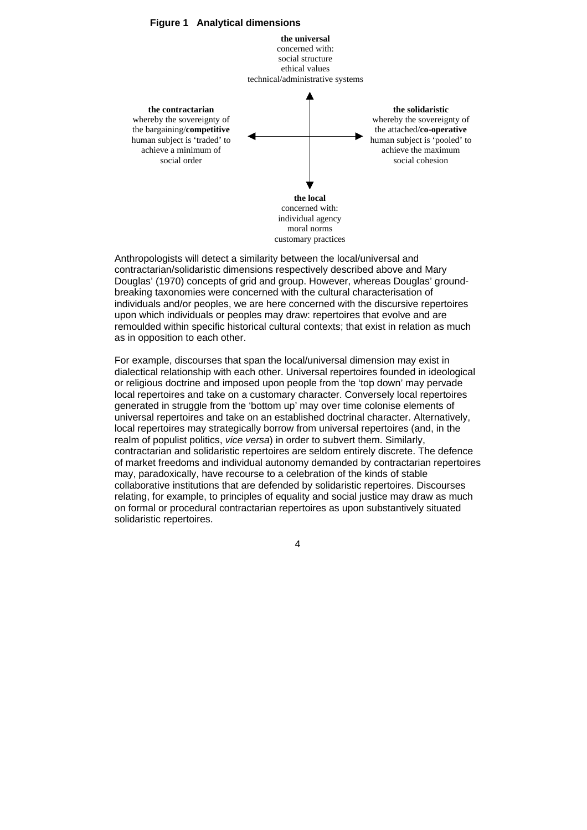

Anthropologists will detect a similarity between the local/universal and contractarian/solidaristic dimensions respectively described above and Mary Douglas' (1970) concepts of grid and group. However, whereas Douglas' groundbreaking taxonomies were concerned with the cultural characterisation of individuals and/or peoples, we are here concerned with the discursive repertoires upon which individuals or peoples may draw: repertoires that evolve and are remoulded within specific historical cultural contexts; that exist in relation as much as in opposition to each other.

For example, discourses that span the local/universal dimension may exist in dialectical relationship with each other. Universal repertoires founded in ideological or religious doctrine and imposed upon people from the 'top down' may pervade local repertoires and take on a customary character. Conversely local repertoires generated in struggle from the 'bottom up' may over time colonise elements of universal repertoires and take on an established doctrinal character. Alternatively, local repertoires may strategically borrow from universal repertoires (and, in the realm of populist politics, *vice versa*) in order to subvert them. Similarly, contractarian and solidaristic repertoires are seldom entirely discrete. The defence of market freedoms and individual autonomy demanded by contractarian repertoires may, paradoxically, have recourse to a celebration of the kinds of stable collaborative institutions that are defended by solidaristic repertoires. Discourses relating, for example, to principles of equality and social justice may draw as much on formal or procedural contractarian repertoires as upon substantively situated solidaristic repertoires.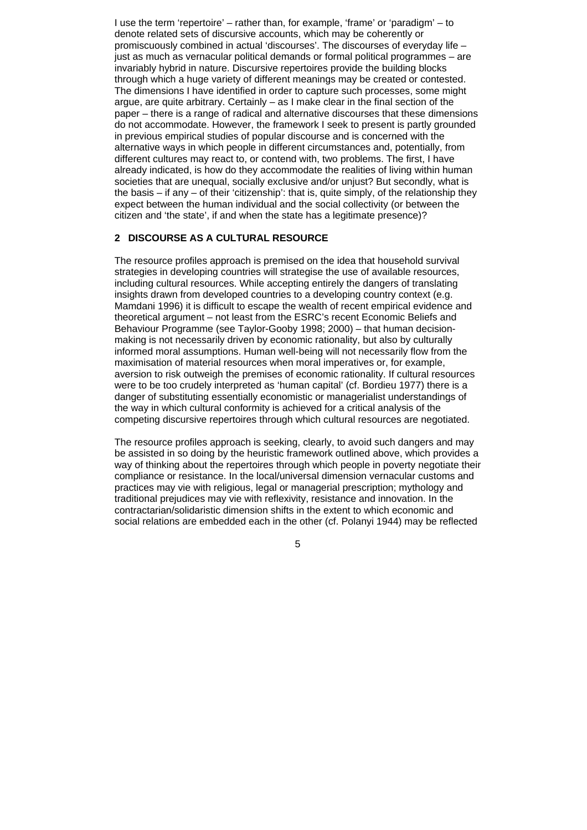I use the term 'repertoire' – rather than, for example, 'frame' or 'paradigm' – to denote related sets of discursive accounts, which may be coherently or promiscuously combined in actual 'discourses'. The discourses of everyday life – just as much as vernacular political demands or formal political programmes – are invariably hybrid in nature. Discursive repertoires provide the building blocks through which a huge variety of different meanings may be created or contested. The dimensions I have identified in order to capture such processes, some might argue, are quite arbitrary. Certainly – as I make clear in the final section of the paper – there is a range of radical and alternative discourses that these dimensions do not accommodate. However, the framework I seek to present is partly grounded in previous empirical studies of popular discourse and is concerned with the alternative ways in which people in different circumstances and, potentially, from different cultures may react to, or contend with, two problems. The first, I have already indicated, is how do they accommodate the realities of living within human societies that are unequal, socially exclusive and/or unjust? But secondly, what is the basis – if any – of their 'citizenship': that is, quite simply, of the relationship they expect between the human individual and the social collectivity (or between the citizen and 'the state', if and when the state has a legitimate presence)?

## **2 DISCOURSE AS A CULTURAL RESOURCE**

The resource profiles approach is premised on the idea that household survival strategies in developing countries will strategise the use of available resources, including cultural resources. While accepting entirely the dangers of translating insights drawn from developed countries to a developing country context (e.g. Mamdani 1996) it is difficult to escape the wealth of recent empirical evidence and theoretical argument – not least from the ESRC's recent Economic Beliefs and Behaviour Programme (see Taylor-Gooby 1998; 2000) – that human decisionmaking is not necessarily driven by economic rationality, but also by culturally informed moral assumptions. Human well-being will not necessarily flow from the maximisation of material resources when moral imperatives or, for example, aversion to risk outweigh the premises of economic rationality. If cultural resources were to be too crudely interpreted as 'human capital' (cf. Bordieu 1977) there is a danger of substituting essentially economistic or managerialist understandings of the way in which cultural conformity is achieved for a critical analysis of the competing discursive repertoires through which cultural resources are negotiated.

The resource profiles approach is seeking, clearly, to avoid such dangers and may be assisted in so doing by the heuristic framework outlined above, which provides a way of thinking about the repertoires through which people in poverty negotiate their compliance or resistance. In the local/universal dimension vernacular customs and practices may vie with religious, legal or managerial prescription; mythology and traditional prejudices may vie with reflexivity, resistance and innovation. In the contractarian/solidaristic dimension shifts in the extent to which economic and social relations are embedded each in the other (cf. Polanyi 1944) may be reflected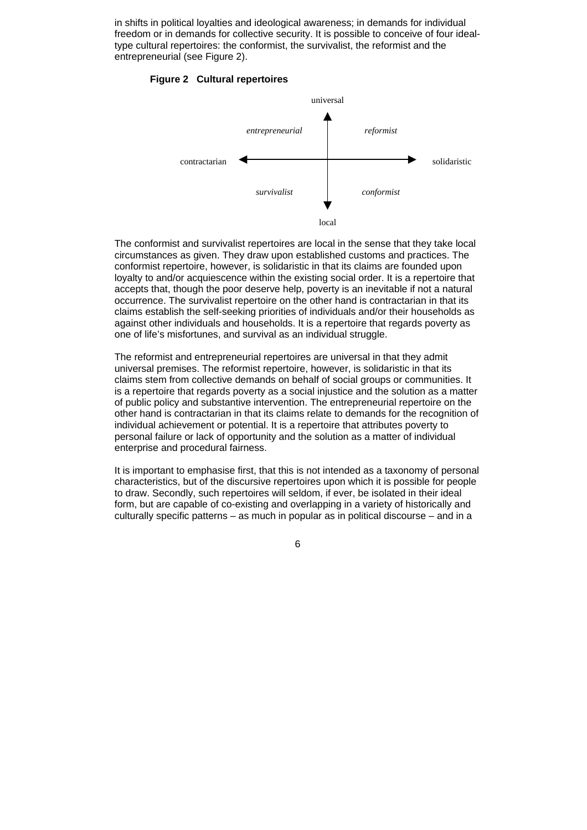in shifts in political loyalties and ideological awareness; in demands for individual freedom or in demands for collective security. It is possible to conceive of four idealtype cultural repertoires: the conformist, the survivalist, the reformist and the entrepreneurial (see Figure 2).

#### **Figure 2 Cultural repertoires**



The conformist and survivalist repertoires are local in the sense that they take local circumstances as given. They draw upon established customs and practices. The conformist repertoire, however, is solidaristic in that its claims are founded upon loyalty to and/or acquiescence within the existing social order. It is a repertoire that accepts that, though the poor deserve help, poverty is an inevitable if not a natural occurrence. The survivalist repertoire on the other hand is contractarian in that its claims establish the self-seeking priorities of individuals and/or their households as against other individuals and households. It is a repertoire that regards poverty as one of life's misfortunes, and survival as an individual struggle.

The reformist and entrepreneurial repertoires are universal in that they admit universal premises. The reformist repertoire, however, is solidaristic in that its claims stem from collective demands on behalf of social groups or communities. It is a repertoire that regards poverty as a social injustice and the solution as a matter of public policy and substantive intervention. The entrepreneurial repertoire on the other hand is contractarian in that its claims relate to demands for the recognition of individual achievement or potential. It is a repertoire that attributes poverty to personal failure or lack of opportunity and the solution as a matter of individual enterprise and procedural fairness.

It is important to emphasise first, that this is not intended as a taxonomy of personal characteristics, but of the discursive repertoires upon which it is possible for people to draw. Secondly, such repertoires will seldom, if ever, be isolated in their ideal form, but are capable of co-existing and overlapping in a variety of historically and culturally specific patterns – as much in popular as in political discourse – and in a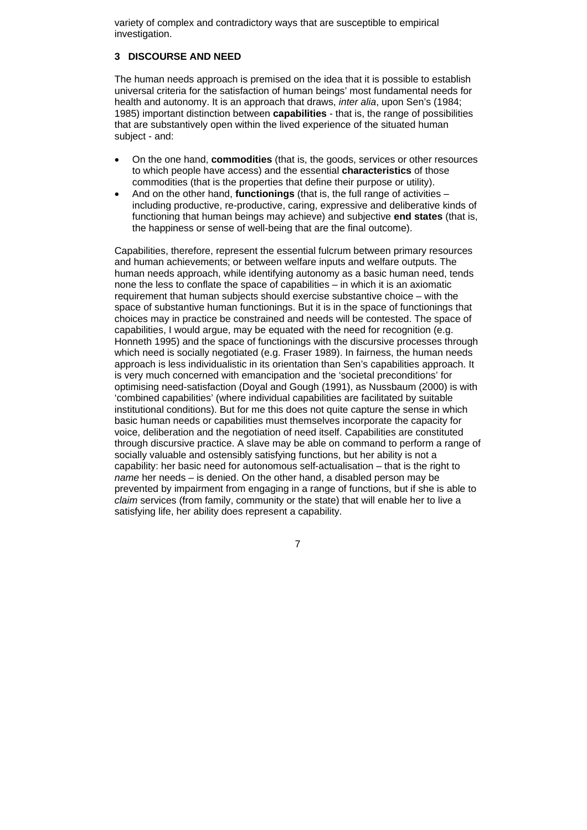variety of complex and contradictory ways that are susceptible to empirical investigation.

# **3 DISCOURSE AND NEED**

The human needs approach is premised on the idea that it is possible to establish universal criteria for the satisfaction of human beings' most fundamental needs for health and autonomy. It is an approach that draws, *inter alia*, upon Sen's (1984; 1985) important distinction between **capabilities** - that is, the range of possibilities that are substantively open within the lived experience of the situated human subject - and:

- On the one hand, **commodities** (that is, the goods, services or other resources to which people have access) and the essential **characteristics** of those commodities (that is the properties that define their purpose or utility).
- And on the other hand, **functionings** (that is, the full range of activities including productive, re-productive, caring, expressive and deliberative kinds of functioning that human beings may achieve) and subjective **end states** (that is, the happiness or sense of well-being that are the final outcome).

Capabilities, therefore, represent the essential fulcrum between primary resources and human achievements; or between welfare inputs and welfare outputs. The human needs approach, while identifying autonomy as a basic human need, tends none the less to conflate the space of capabilities – in which it is an axiomatic requirement that human subjects should exercise substantive choice – with the space of substantive human functionings. But it is in the space of functionings that choices may in practice be constrained and needs will be contested. The space of capabilities. I would argue, may be equated with the need for recognition (e.g. Honneth 1995) and the space of functionings with the discursive processes through which need is socially negotiated (e.g. Fraser 1989). In fairness, the human needs approach is less individualistic in its orientation than Sen's capabilities approach. It is very much concerned with emancipation and the 'societal preconditions' for optimising need-satisfaction (Doyal and Gough (1991), as Nussbaum (2000) is with 'combined capabilities' (where individual capabilities are facilitated by suitable institutional conditions). But for me this does not quite capture the sense in which basic human needs or capabilities must themselves incorporate the capacity for voice, deliberation and the negotiation of need itself. Capabilities are constituted through discursive practice. A slave may be able on command to perform a range of socially valuable and ostensibly satisfying functions, but her ability is not a capability: her basic need for autonomous self-actualisation – that is the right to *name* her needs – is denied. On the other hand, a disabled person may be prevented by impairment from engaging in a range of functions, but if she is able to *claim* services (from family, community or the state) that will enable her to live a satisfying life, her ability does represent a capability.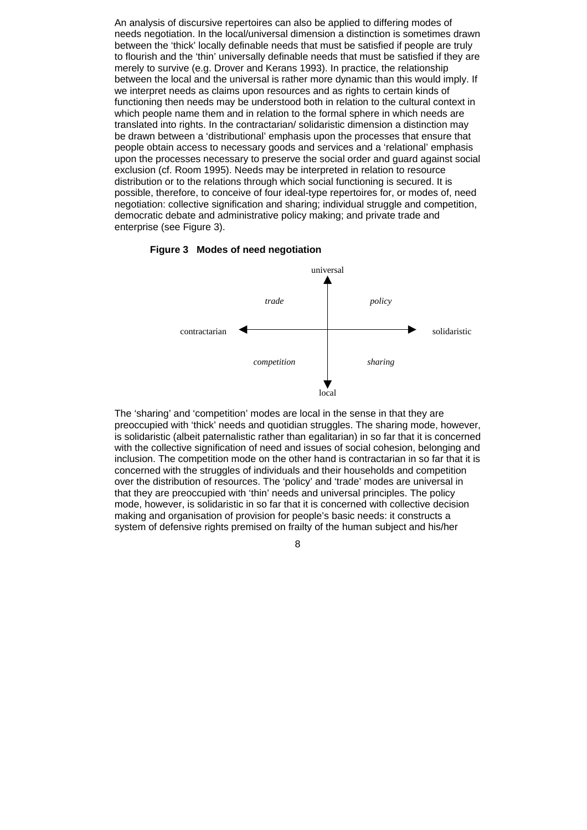An analysis of discursive repertoires can also be applied to differing modes of needs negotiation. In the local/universal dimension a distinction is sometimes drawn between the 'thick' locally definable needs that must be satisfied if people are truly to flourish and the 'thin' universally definable needs that must be satisfied if they are merely to survive (e.g. Drover and Kerans 1993). In practice, the relationship between the local and the universal is rather more dynamic than this would imply. If we interpret needs as claims upon resources and as rights to certain kinds of functioning then needs may be understood both in relation to the cultural context in which people name them and in relation to the formal sphere in which needs are translated into rights. In the contractarian/ solidaristic dimension a distinction may be drawn between a 'distributional' emphasis upon the processes that ensure that people obtain access to necessary goods and services and a 'relational' emphasis upon the processes necessary to preserve the social order and guard against social exclusion (cf. Room 1995). Needs may be interpreted in relation to resource distribution or to the relations through which social functioning is secured. It is possible, therefore, to conceive of four ideal-type repertoires for, or modes of, need negotiation: collective signification and sharing; individual struggle and competition, democratic debate and administrative policy making; and private trade and enterprise (see Figure 3).





The 'sharing' and 'competition' modes are local in the sense in that they are preoccupied with 'thick' needs and quotidian struggles. The sharing mode, however, is solidaristic (albeit paternalistic rather than egalitarian) in so far that it is concerned with the collective signification of need and issues of social cohesion, belonging and inclusion. The competition mode on the other hand is contractarian in so far that it is concerned with the struggles of individuals and their households and competition over the distribution of resources. The 'policy' and 'trade' modes are universal in that they are preoccupied with 'thin' needs and universal principles. The policy mode, however, is solidaristic in so far that it is concerned with collective decision making and organisation of provision for people's basic needs: it constructs a system of defensive rights premised on frailty of the human subject and his/her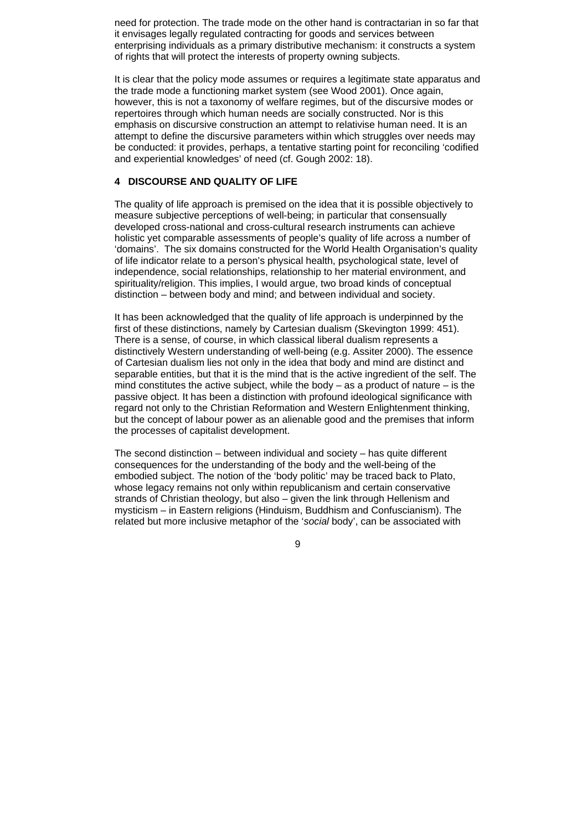need for protection. The trade mode on the other hand is contractarian in so far that it envisages legally regulated contracting for goods and services between enterprising individuals as a primary distributive mechanism: it constructs a system of rights that will protect the interests of property owning subjects.

It is clear that the policy mode assumes or requires a legitimate state apparatus and the trade mode a functioning market system (see Wood 2001). Once again, however, this is not a taxonomy of welfare regimes, but of the discursive modes or repertoires through which human needs are socially constructed. Nor is this emphasis on discursive construction an attempt to relativise human need. It is an attempt to define the discursive parameters within which struggles over needs may be conducted: it provides, perhaps, a tentative starting point for reconciling 'codified and experiential knowledges' of need (cf. Gough 2002: 18).

# **4 DISCOURSE AND QUALITY OF LIFE**

The quality of life approach is premised on the idea that it is possible objectively to measure subjective perceptions of well-being; in particular that consensually developed cross-national and cross-cultural research instruments can achieve holistic yet comparable assessments of people's quality of life across a number of 'domains'. The six domains constructed for the World Health Organisation's quality of life indicator relate to a person's physical health, psychological state, level of independence, social relationships, relationship to her material environment, and spirituality/religion. This implies, I would argue, two broad kinds of conceptual distinction – between body and mind; and between individual and society.

It has been acknowledged that the quality of life approach is underpinned by the first of these distinctions, namely by Cartesian dualism (Skevington 1999: 451). There is a sense, of course, in which classical liberal dualism represents a distinctively Western understanding of well-being (e.g. Assiter 2000). The essence of Cartesian dualism lies not only in the idea that body and mind are distinct and separable entities, but that it is the mind that is the active ingredient of the self. The mind constitutes the active subject, while the body  $-$  as a product of nature  $-$  is the passive object. It has been a distinction with profound ideological significance with regard not only to the Christian Reformation and Western Enlightenment thinking, but the concept of labour power as an alienable good and the premises that inform the processes of capitalist development.

The second distinction – between individual and society – has quite different consequences for the understanding of the body and the well-being of the embodied subject. The notion of the 'body politic' may be traced back to Plato, whose legacy remains not only within republicanism and certain conservative strands of Christian theology, but also – given the link through Hellenism and mysticism – in Eastern religions (Hinduism, Buddhism and Confuscianism). The related but more inclusive metaphor of the '*social* body', can be associated with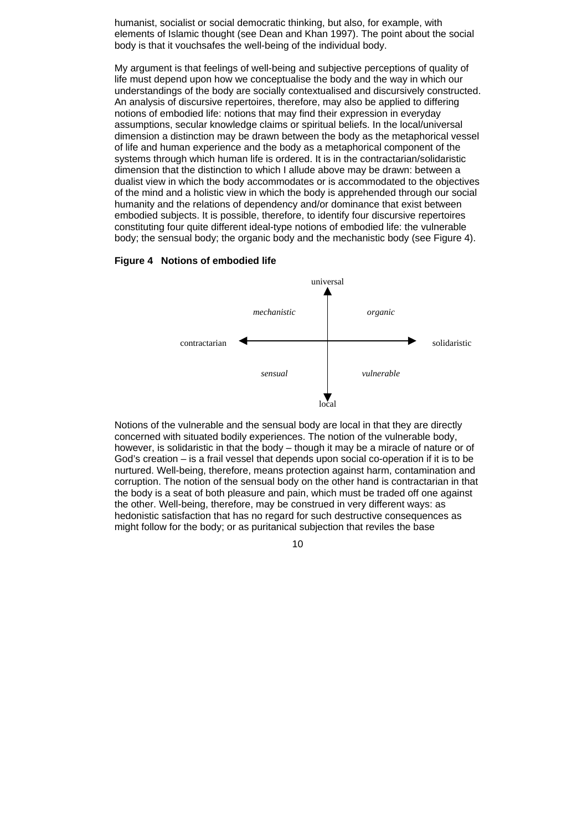humanist, socialist or social democratic thinking, but also, for example, with elements of Islamic thought (see Dean and Khan 1997). The point about the social body is that it vouchsafes the well-being of the individual body.

My argument is that feelings of well-being and subjective perceptions of quality of life must depend upon how we conceptualise the body and the way in which our understandings of the body are socially contextualised and discursively constructed. An analysis of discursive repertoires, therefore, may also be applied to differing notions of embodied life: notions that may find their expression in everyday assumptions, secular knowledge claims or spiritual beliefs. In the local/universal dimension a distinction may be drawn between the body as the metaphorical vessel of life and human experience and the body as a metaphorical component of the systems through which human life is ordered. It is in the contractarian/solidaristic dimension that the distinction to which I allude above may be drawn: between a dualist view in which the body accommodates or is accommodated to the objectives of the mind and a holistic view in which the body is apprehended through our social humanity and the relations of dependency and/or dominance that exist between embodied subjects. It is possible, therefore, to identify four discursive repertoires constituting four quite different ideal-type notions of embodied life: the vulnerable body; the sensual body; the organic body and the mechanistic body (see Figure 4).

## **Figure 4 Notions of embodied life**



Notions of the vulnerable and the sensual body are local in that they are directly concerned with situated bodily experiences. The notion of the vulnerable body, however, is solidaristic in that the body – though it may be a miracle of nature or of God's creation – is a frail vessel that depends upon social co-operation if it is to be nurtured. Well-being, therefore, means protection against harm, contamination and corruption. The notion of the sensual body on the other hand is contractarian in that the body is a seat of both pleasure and pain, which must be traded off one against the other. Well-being, therefore, may be construed in very different ways: as hedonistic satisfaction that has no regard for such destructive consequences as might follow for the body; or as puritanical subjection that reviles the base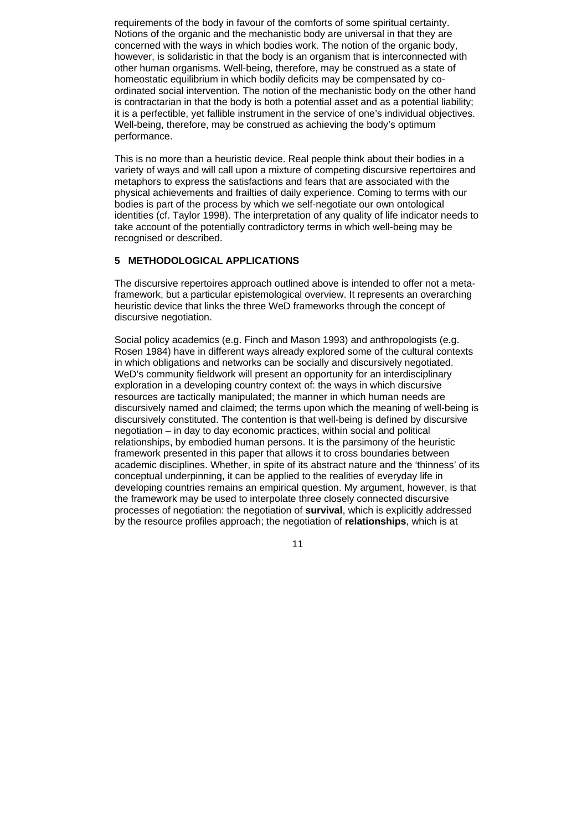requirements of the body in favour of the comforts of some spiritual certainty. Notions of the organic and the mechanistic body are universal in that they are concerned with the ways in which bodies work. The notion of the organic body, however, is solidaristic in that the body is an organism that is interconnected with other human organisms. Well-being, therefore, may be construed as a state of homeostatic equilibrium in which bodily deficits may be compensated by coordinated social intervention. The notion of the mechanistic body on the other hand is contractarian in that the body is both a potential asset and as a potential liability; it is a perfectible, yet fallible instrument in the service of one's individual objectives. Well-being, therefore, may be construed as achieving the body's optimum performance.

This is no more than a heuristic device. Real people think about their bodies in a variety of ways and will call upon a mixture of competing discursive repertoires and metaphors to express the satisfactions and fears that are associated with the physical achievements and frailties of daily experience. Coming to terms with our bodies is part of the process by which we self-negotiate our own ontological identities (cf. Taylor 1998). The interpretation of any quality of life indicator needs to take account of the potentially contradictory terms in which well-being may be recognised or described.

# **5 METHODOLOGICAL APPLICATIONS**

The discursive repertoires approach outlined above is intended to offer not a metaframework, but a particular epistemological overview. It represents an overarching heuristic device that links the three WeD frameworks through the concept of discursive negotiation.

Social policy academics (e.g. Finch and Mason 1993) and anthropologists (e.g. Rosen 1984) have in different ways already explored some of the cultural contexts in which obligations and networks can be socially and discursively negotiated. WeD's community fieldwork will present an opportunity for an interdisciplinary exploration in a developing country context of: the ways in which discursive resources are tactically manipulated; the manner in which human needs are discursively named and claimed; the terms upon which the meaning of well-being is discursively constituted. The contention is that well-being is defined by discursive negotiation – in day to day economic practices, within social and political relationships, by embodied human persons. It is the parsimony of the heuristic framework presented in this paper that allows it to cross boundaries between academic disciplines. Whether, in spite of its abstract nature and the 'thinness' of its conceptual underpinning, it can be applied to the realities of everyday life in developing countries remains an empirical question. My argument, however, is that the framework may be used to interpolate three closely connected discursive processes of negotiation: the negotiation of **survival**, which is explicitly addressed by the resource profiles approach; the negotiation of **relationships**, which is at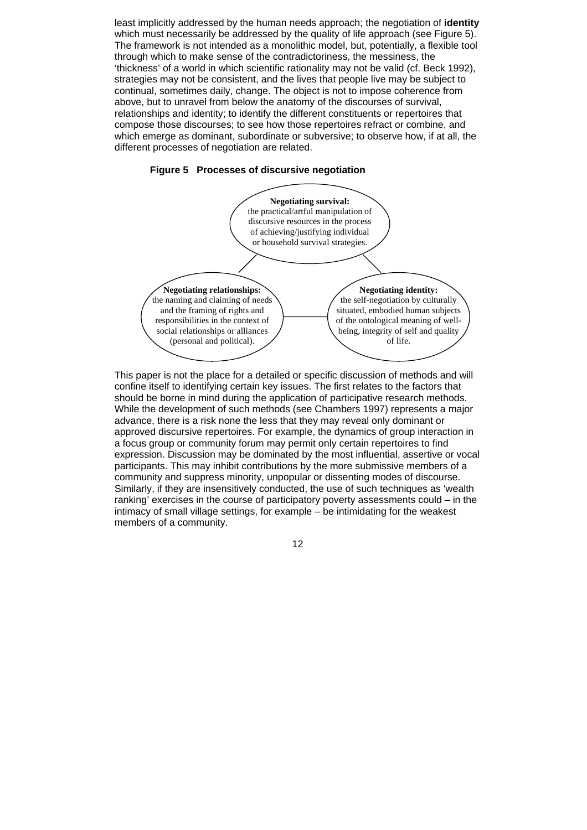least implicitly addressed by the human needs approach; the negotiation of **identity** which must necessarily be addressed by the quality of life approach (see Figure 5). The framework is not intended as a monolithic model, but, potentially, a flexible tool through which to make sense of the contradictoriness, the messiness, the 'thickness' of a world in which scientific rationality may not be valid (cf. Beck 1992), strategies may not be consistent, and the lives that people live may be subject to continual, sometimes daily, change. The object is not to impose coherence from above, but to unravel from below the anatomy of the discourses of survival, relationships and identity; to identify the different constituents or repertoires that compose those discourses; to see how those repertoires refract or combine, and which emerge as dominant, subordinate or subversive; to observe how, if at all, the different processes of negotiation are related.

## **Figure 5 Processes of discursive negotiation**



This paper is not the place for a detailed or specific discussion of methods and will confine itself to identifying certain key issues. The first relates to the factors that should be borne in mind during the application of participative research methods. While the development of such methods (see Chambers 1997) represents a major advance, there is a risk none the less that they may reveal only dominant or approved discursive repertoires. For example, the dynamics of group interaction in a focus group or community forum may permit only certain repertoires to find expression. Discussion may be dominated by the most influential, assertive or vocal participants. This may inhibit contributions by the more submissive members of a community and suppress minority, unpopular or dissenting modes of discourse. Similarly, if they are insensitively conducted, the use of such techniques as 'wealth ranking' exercises in the course of participatory poverty assessments could – in the intimacy of small village settings, for example – be intimidating for the weakest members of a community.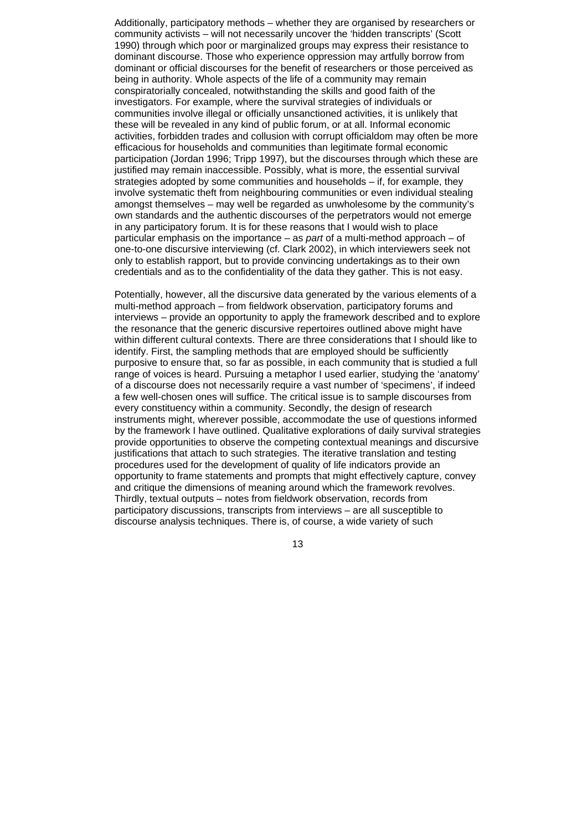Additionally, participatory methods – whether they are organised by researchers or community activists – will not necessarily uncover the 'hidden transcripts' (Scott 1990) through which poor or marginalized groups may express their resistance to dominant discourse. Those who experience oppression may artfully borrow from dominant or official discourses for the benefit of researchers or those perceived as being in authority. Whole aspects of the life of a community may remain conspiratorially concealed, notwithstanding the skills and good faith of the investigators. For example, where the survival strategies of individuals or communities involve illegal or officially unsanctioned activities, it is unlikely that these will be revealed in any kind of public forum, or at all. Informal economic activities, forbidden trades and collusion with corrupt officialdom may often be more efficacious for households and communities than legitimate formal economic participation (Jordan 1996; Tripp 1997), but the discourses through which these are justified may remain inaccessible. Possibly, what is more, the essential survival strategies adopted by some communities and households – if, for example, they involve systematic theft from neighbouring communities or even individual stealing amongst themselves – may well be regarded as unwholesome by the community's own standards and the authentic discourses of the perpetrators would not emerge in any participatory forum. It is for these reasons that I would wish to place particular emphasis on the importance – as *part* of a multi-method approach – of one-to-one discursive interviewing (cf. Clark 2002), in which interviewers seek not only to establish rapport, but to provide convincing undertakings as to their own credentials and as to the confidentiality of the data they gather. This is not easy.

Potentially, however, all the discursive data generated by the various elements of a multi-method approach – from fieldwork observation, participatory forums and interviews – provide an opportunity to apply the framework described and to explore the resonance that the generic discursive repertoires outlined above might have within different cultural contexts. There are three considerations that I should like to identify. First, the sampling methods that are employed should be sufficiently purposive to ensure that, so far as possible, in each community that is studied a full range of voices is heard. Pursuing a metaphor I used earlier, studying the 'anatomy' of a discourse does not necessarily require a vast number of 'specimens', if indeed a few well-chosen ones will suffice. The critical issue is to sample discourses from every constituency within a community. Secondly, the design of research instruments might, wherever possible, accommodate the use of questions informed by the framework I have outlined. Qualitative explorations of daily survival strategies provide opportunities to observe the competing contextual meanings and discursive justifications that attach to such strategies. The iterative translation and testing procedures used for the development of quality of life indicators provide an opportunity to frame statements and prompts that might effectively capture, convey and critique the dimensions of meaning around which the framework revolves. Thirdly, textual outputs – notes from fieldwork observation, records from participatory discussions, transcripts from interviews – are all susceptible to discourse analysis techniques. There is, of course, a wide variety of such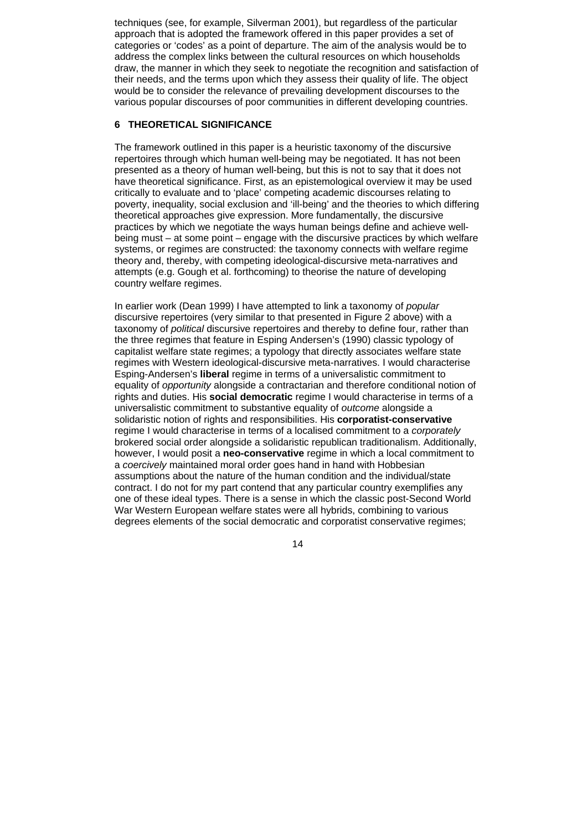techniques (see, for example, Silverman 2001), but regardless of the particular approach that is adopted the framework offered in this paper provides a set of categories or 'codes' as a point of departure. The aim of the analysis would be to address the complex links between the cultural resources on which households draw, the manner in which they seek to negotiate the recognition and satisfaction of their needs, and the terms upon which they assess their quality of life. The object would be to consider the relevance of prevailing development discourses to the various popular discourses of poor communities in different developing countries.

# **6 THEORETICAL SIGNIFICANCE**

The framework outlined in this paper is a heuristic taxonomy of the discursive repertoires through which human well-being may be negotiated. It has not been presented as a theory of human well-being, but this is not to say that it does not have theoretical significance. First, as an epistemological overview it may be used critically to evaluate and to 'place' competing academic discourses relating to poverty, inequality, social exclusion and 'ill-being' and the theories to which differing theoretical approaches give expression. More fundamentally, the discursive practices by which we negotiate the ways human beings define and achieve wellbeing must – at some point – engage with the discursive practices by which welfare systems, or regimes are constructed: the taxonomy connects with welfare regime theory and, thereby, with competing ideological-discursive meta-narratives and attempts (e.g. Gough et al. forthcoming) to theorise the nature of developing country welfare regimes.

In earlier work (Dean 1999) I have attempted to link a taxonomy of *popular* discursive repertoires (very similar to that presented in Figure 2 above) with a taxonomy of *political* discursive repertoires and thereby to define four, rather than the three regimes that feature in Esping Andersen's (1990) classic typology of capitalist welfare state regimes; a typology that directly associates welfare state regimes with Western ideological-discursive meta-narratives. I would characterise Esping-Andersen's **liberal** regime in terms of a universalistic commitment to equality of *opportunity* alongside a contractarian and therefore conditional notion of rights and duties. His **social democratic** regime I would characterise in terms of a universalistic commitment to substantive equality of *outcome* alongside a solidaristic notion of rights and responsibilities. His **corporatist-conservative** regime I would characterise in terms of a localised commitment to a *corporately* brokered social order alongside a solidaristic republican traditionalism. Additionally, however, I would posit a **neo-conservative** regime in which a local commitment to a *coercively* maintained moral order goes hand in hand with Hobbesian assumptions about the nature of the human condition and the individual/state contract. I do not for my part contend that any particular country exemplifies any one of these ideal types. There is a sense in which the classic post-Second World War Western European welfare states were all hybrids, combining to various degrees elements of the social democratic and corporatist conservative regimes;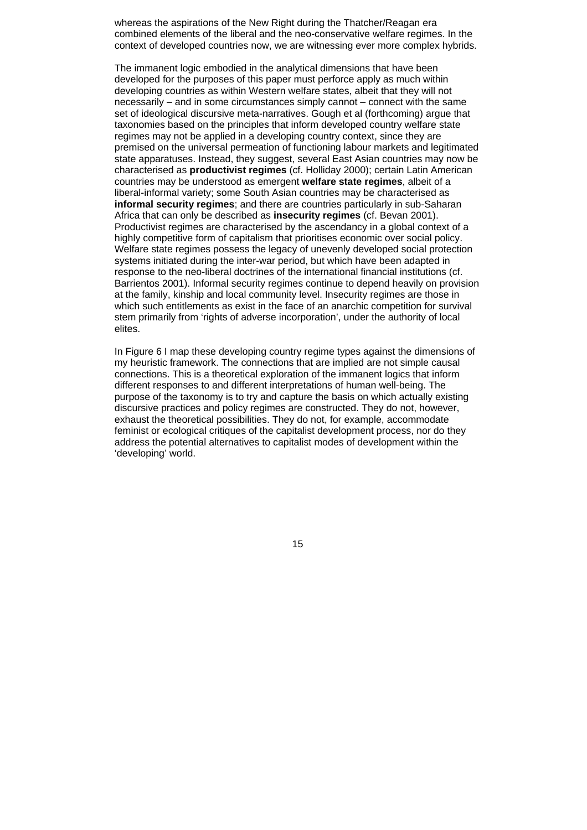whereas the aspirations of the New Right during the Thatcher/Reagan era combined elements of the liberal and the neo-conservative welfare regimes. In the context of developed countries now, we are witnessing ever more complex hybrids.

The immanent logic embodied in the analytical dimensions that have been developed for the purposes of this paper must perforce apply as much within developing countries as within Western welfare states, albeit that they will not necessarily – and in some circumstances simply cannot – connect with the same set of ideological discursive meta-narratives. Gough et al (forthcoming) argue that taxonomies based on the principles that inform developed country welfare state regimes may not be applied in a developing country context, since they are premised on the universal permeation of functioning labour markets and legitimated state apparatuses. Instead, they suggest, several East Asian countries may now be characterised as **productivist regimes** (cf. Holliday 2000); certain Latin American countries may be understood as emergent **welfare state regimes**, albeit of a liberal-informal variety; some South Asian countries may be characterised as **informal security regimes**; and there are countries particularly in sub-Saharan Africa that can only be described as **insecurity regimes** (cf. Bevan 2001). Productivist regimes are characterised by the ascendancy in a global context of a highly competitive form of capitalism that prioritises economic over social policy. Welfare state regimes possess the legacy of unevenly developed social protection systems initiated during the inter-war period, but which have been adapted in response to the neo-liberal doctrines of the international financial institutions (cf. Barrientos 2001). Informal security regimes continue to depend heavily on provision at the family, kinship and local community level. Insecurity regimes are those in which such entitlements as exist in the face of an anarchic competition for survival stem primarily from 'rights of adverse incorporation', under the authority of local elites.

In Figure 6 I map these developing country regime types against the dimensions of my heuristic framework. The connections that are implied are not simple causal connections. This is a theoretical exploration of the immanent logics that inform different responses to and different interpretations of human well-being. The purpose of the taxonomy is to try and capture the basis on which actually existing discursive practices and policy regimes are constructed. They do not, however, exhaust the theoretical possibilities. They do not, for example, accommodate feminist or ecological critiques of the capitalist development process, nor do they address the potential alternatives to capitalist modes of development within the 'developing' world.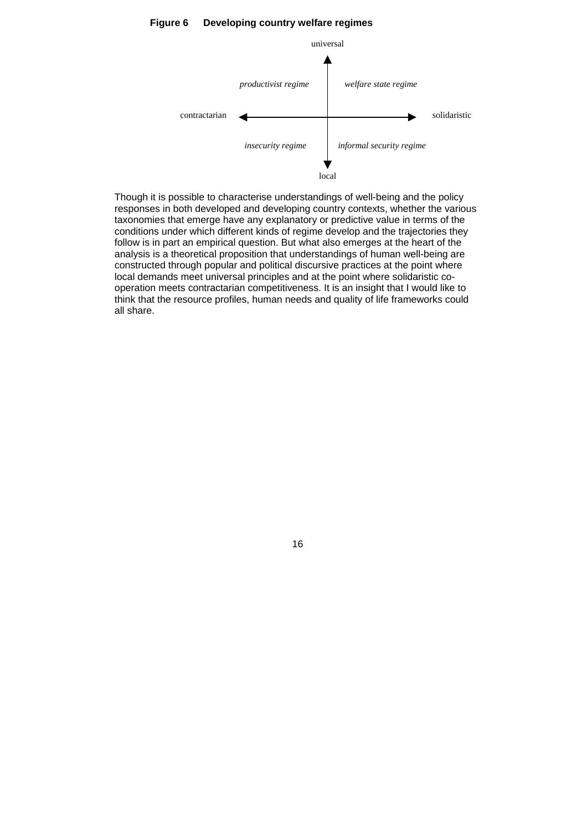

#### **Figure 6 Developing country welfare regimes**

Though it is possible to characterise understandings of well-being and the policy responses in both developed and developing country contexts, whether the various taxonomies that emerge have any explanatory or predictive value in terms of the conditions under which different kinds of regime develop and the trajectories they follow is in part an empirical question. But what also emerges at the heart of the analysis is a theoretical proposition that understandings of human well-being are constructed through popular and political discursive practices at the point where local demands meet universal principles and at the point where solidaristic cooperation meets contractarian competitiveness. It is an insight that I would like to think that the resource profiles, human needs and quality of life frameworks could all share.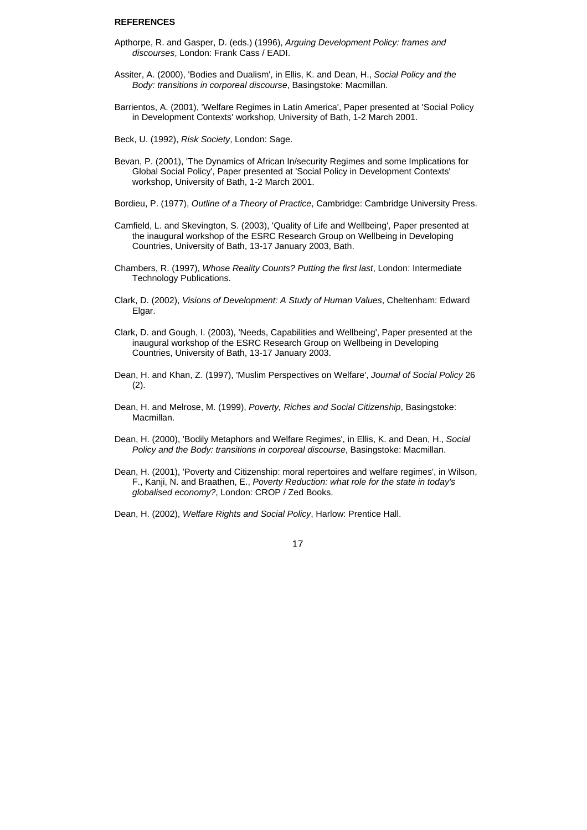#### **REFERENCES**

- Apthorpe, R. and Gasper, D. (eds.) (1996), *Arguing Development Policy: frames and discourses*, London: Frank Cass / EADI.
- Assiter, A. (2000), 'Bodies and Dualism', in Ellis, K. and Dean, H., *Social Policy and the Body: transitions in corporeal discourse*, Basingstoke: Macmillan.
- Barrientos, A. (2001), 'Welfare Regimes in Latin America', Paper presented at 'Social Policy in Development Contexts' workshop, University of Bath, 1-2 March 2001.
- Beck, U. (1992), *Risk Society*, London: Sage.
- Bevan, P. (2001), 'The Dynamics of African In/security Regimes and some Implications for Global Social Policy', Paper presented at 'Social Policy in Development Contexts' workshop, University of Bath, 1-2 March 2001.
- Bordieu, P. (1977), *Outline of a Theory of Practice*, Cambridge: Cambridge University Press.
- Camfield, L. and Skevington, S. (2003), 'Quality of Life and Wellbeing', Paper presented at the inaugural workshop of the ESRC Research Group on Wellbeing in Developing Countries, University of Bath, 13-17 January 2003, Bath.
- Chambers, R. (1997), *Whose Reality Counts? Putting the first last*, London: Intermediate Technology Publications.
- Clark, D. (2002), *Visions of Development: A Study of Human Values*, Cheltenham: Edward Elgar.
- Clark, D. and Gough, I. (2003), 'Needs, Capabilities and Wellbeing', Paper presented at the inaugural workshop of the ESRC Research Group on Wellbeing in Developing Countries, University of Bath, 13-17 January 2003.
- Dean, H. and Khan, Z. (1997), 'Muslim Perspectives on Welfare', *Journal of Social Policy* 26  $(2)$ .
- Dean, H. and Melrose, M. (1999), *Poverty, Riches and Social Citizenship*, Basingstoke: Macmillan.
- Dean, H. (2000), 'Bodily Metaphors and Welfare Regimes', in Ellis, K. and Dean, H., *Social Policy and the Body: transitions in corporeal discourse*, Basingstoke: Macmillan.
- Dean, H. (2001), 'Poverty and Citizenship: moral repertoires and welfare regimes', in Wilson, F., Kanji, N. and Braathen, E., *Poverty Reduction: what role for the state in today's globalised economy?*, London: CROP / Zed Books.

Dean, H. (2002), *Welfare Rights and Social Policy*, Harlow: Prentice Hall.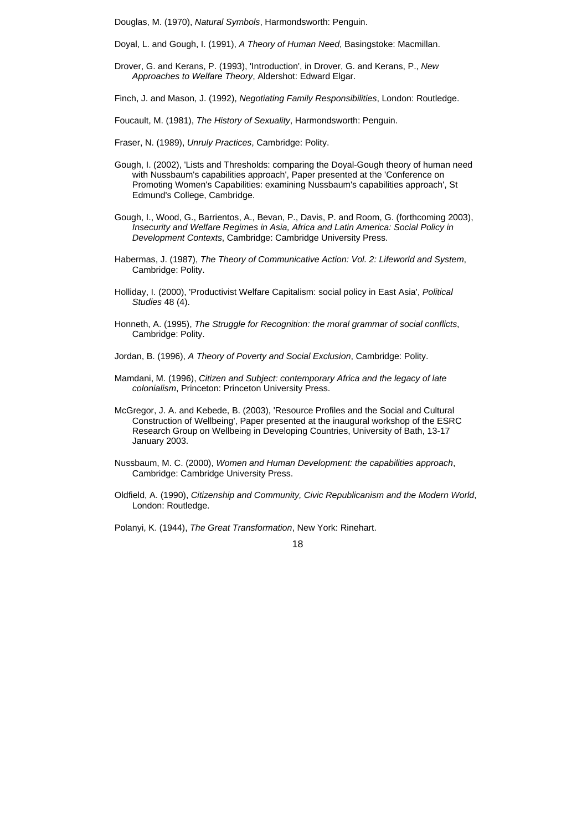Douglas, M. (1970), *Natural Symbols*, Harmondsworth: Penguin.

Doyal, L. and Gough, I. (1991), *A Theory of Human Need*, Basingstoke: Macmillan.

Drover, G. and Kerans, P. (1993), 'Introduction', in Drover, G. and Kerans, P., *New Approaches to Welfare Theory*, Aldershot: Edward Elgar.

Finch, J. and Mason, J. (1992), *Negotiating Family Responsibilities*, London: Routledge.

- Foucault, M. (1981), *The History of Sexuality*, Harmondsworth: Penguin.
- Fraser, N. (1989), *Unruly Practices*, Cambridge: Polity.
- Gough, I. (2002), 'Lists and Thresholds: comparing the Doyal-Gough theory of human need with Nussbaum's capabilities approach', Paper presented at the 'Conference on Promoting Women's Capabilities: examining Nussbaum's capabilities approach', St Edmund's College, Cambridge.
- Gough, I., Wood, G., Barrientos, A., Bevan, P., Davis, P. and Room, G. (forthcoming 2003), *Insecurity and Welfare Regimes in Asia, Africa and Latin America: Social Policy in Development Contexts*, Cambridge: Cambridge University Press.
- Habermas, J. (1987), *The Theory of Communicative Action: Vol. 2: Lifeworld and System*, Cambridge: Polity.
- Holliday, I. (2000), 'Productivist Welfare Capitalism: social policy in East Asia', *Political Studies* 48 (4).
- Honneth, A. (1995), *The Struggle for Recognition: the moral grammar of social conflicts*, Cambridge: Polity.
- Jordan, B. (1996), *A Theory of Poverty and Social Exclusion*, Cambridge: Polity.
- Mamdani, M. (1996), *Citizen and Subject: contemporary Africa and the legacy of late colonialism*, Princeton: Princeton University Press.
- McGregor, J. A. and Kebede, B. (2003), 'Resource Profiles and the Social and Cultural Construction of Wellbeing', Paper presented at the inaugural workshop of the ESRC Research Group on Wellbeing in Developing Countries, University of Bath, 13-17 January 2003.
- Nussbaum, M. C. (2000), *Women and Human Development: the capabilities approach*, Cambridge: Cambridge University Press.
- Oldfield, A. (1990), *Citizenship and Community, Civic Republicanism and the Modern World*, London: Routledge.
- Polanyi, K. (1944), *The Great Transformation*, New York: Rinehart.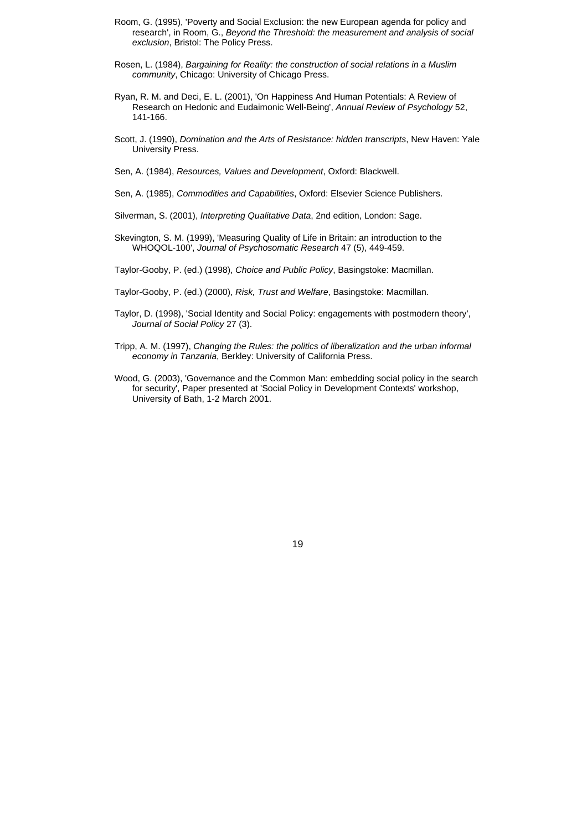- Room, G. (1995), 'Poverty and Social Exclusion: the new European agenda for policy and research', in Room, G., *Beyond the Threshold: the measurement and analysis of social exclusion*, Bristol: The Policy Press.
- Rosen, L. (1984), *Bargaining for Reality: the construction of social relations in a Muslim community*, Chicago: University of Chicago Press.
- Ryan, R. M. and Deci, E. L. (2001), 'On Happiness And Human Potentials: A Review of Research on Hedonic and Eudaimonic Well-Being', *Annual Review of Psychology* 52, 141-166.
- Scott, J. (1990), *Domination and the Arts of Resistance: hidden transcripts*, New Haven: Yale University Press.
- Sen, A. (1984), *Resources, Values and Development*, Oxford: Blackwell.
- Sen, A. (1985), *Commodities and Capabilities*, Oxford: Elsevier Science Publishers.
- Silverman, S. (2001), *Interpreting Qualitative Data*, 2nd edition, London: Sage.
- Skevington, S. M. (1999), 'Measuring Quality of Life in Britain: an introduction to the WHOQOL-100', *Journal of Psychosomatic Research* 47 (5), 449-459.
- Taylor-Gooby, P. (ed.) (1998), *Choice and Public Policy*, Basingstoke: Macmillan.
- Taylor-Gooby, P. (ed.) (2000), *Risk, Trust and Welfare*, Basingstoke: Macmillan.
- Taylor, D. (1998), 'Social Identity and Social Policy: engagements with postmodern theory', *Journal of Social Policy* 27 (3).
- Tripp, A. M. (1997), *Changing the Rules: the politics of liberalization and the urban informal economy in Tanzania*, Berkley: University of California Press.
- Wood, G. (2003), 'Governance and the Common Man: embedding social policy in the search for security', Paper presented at 'Social Policy in Development Contexts' workshop, University of Bath, 1-2 March 2001.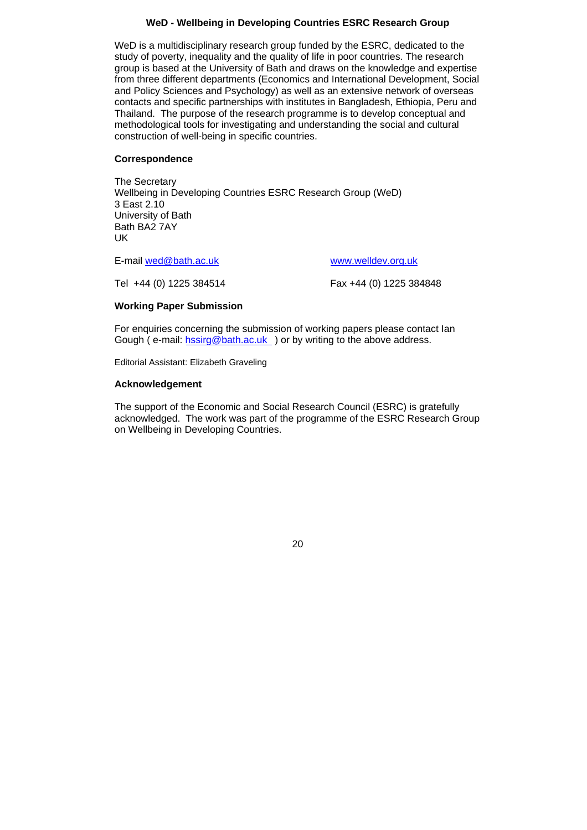# **WeD - Wellbeing in Developing Countries ESRC Research Group**

WeD is a multidisciplinary research group funded by the ESRC, dedicated to the study of poverty, inequality and the quality of life in poor countries. The research group is based at the University of Bath and draws on the knowledge and expertise from three different departments (Economics and International Development, Social and Policy Sciences and Psychology) as well as an extensive network of overseas contacts and specific partnerships with institutes in Bangladesh, Ethiopia, Peru and Thailand. The purpose of the research programme is to develop conceptual and methodological tools for investigating and understanding the social and cultural construction of well-being in specific countries.

## **Correspondence**

The Secretary Wellbeing in Developing Countries ESRC Research Group (WeD) 3 East 2.10 University of Bath Bath BA2 7AY UK

E-mail [wed@bath.ac.uk](mailto:wed@bath.ac.uk) [www.welldev.org.uk](http://www.welldev.org.uk/)

Tel +44 (0) 1225 384514 Fax +44 (0) 1225 384848

# **Working Paper Submission**

For enquiries concerning the submission of working papers please contact Ian Gough ( e-mail: hssirg[@bath.ac.uk](mailto:sssdac@bath.ac.uk) ) or by writing to the above address.

Editorial Assistant: Elizabeth Graveling

## **Acknowledgement**

The support of the Economic and Social Research Council (ESRC) is gratefully acknowledged. The work was part of the programme of the ESRC Research Group on Wellbeing in Developing Countries.